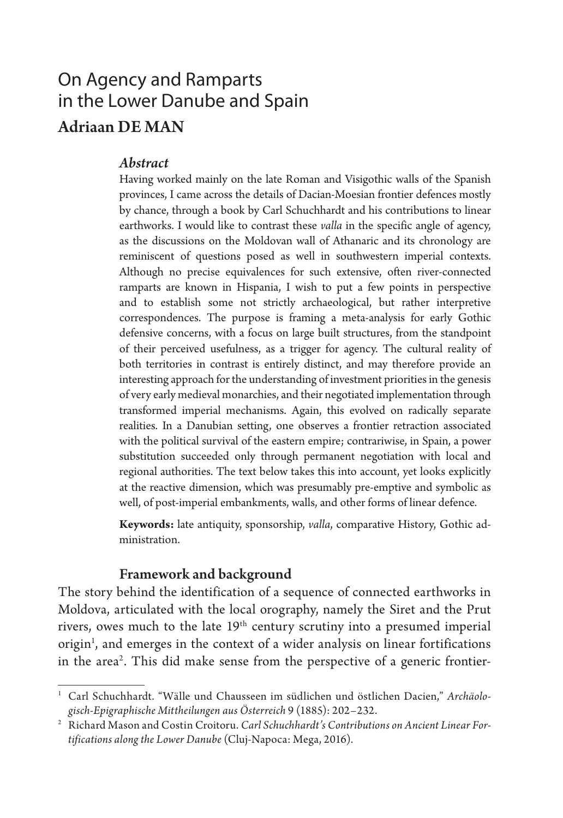# On Agency and Ramparts in the Lower Danube and Spain Adriaan DE MAN

### *Abstract*

Having worked mainly on the late Roman and Visigothic walls of the Spanish provinces, I came across the details of Dacian-Moesian frontier defences mostly by chance, through a book by Carl Schuchhardt and his contributions to linear earthworks. I would like to contrast these *valla* in the specific angle of agency, as the discussions on the Moldovan wall of Athanaric and its chronology are reminiscent of questions posed as well in southwestern imperial contexts. Although no precise equivalences for such extensive, often river-connected ramparts are known in Hispania, I wish to put a few points in perspective and to establish some not strictly archaeological, but rather interpretive correspondences. The purpose is framing a meta-analysis for early Gothic defensive concerns, with a focus on large built structures, from the standpoint of their perceived usefulness, as a trigger for agency. The cultural reality of both territories in contrast is entirely distinct, and may therefore provide an interesting approach for the understanding of investment priorities in the genesis of very early medieval monarchies, and their negotiated implementation through transformed imperial mechanisms. Again, this evolved on radically separate realities. In a Danubian setting, one observes a frontier retraction associated with the political survival of the eastern empire; contrariwise, in Spain, a power substitution succeeded only through permanent negotiation with local and regional authorities. The text below takes this into account, yet looks explicitly at the reactive dimension, which was presumably pre-emptive and symbolic as well, of post-imperial embankments, walls, and other forms of linear defence.

**Keywords:** late antiquity, sponsorship, *valla*, comparative History, Gothic administration.

#### Framework and background

The story behind the identification of a sequence of connected earthworks in Moldova, articulated with the local orography, namely the Siret and the Prut rivers, owes much to the late  $19<sup>th</sup>$  century scrutiny into a presumed imperial origin<sup>1</sup>, and emerges in the context of a wider analysis on linear fortifications in the area<sup>2</sup>. This did make sense from the perspective of a generic frontier-

<sup>1</sup> Carl Schuchhardt. "Wälle und Chausseen im südlichen und östlichen Dacien," *Archäologisch-Epigraphische Mittheilungen aus Österreich* 9 (1885): 202–232.

<sup>&</sup>lt;sup>2</sup> Richard Mason and Costin Croitoru. *Carl Schuchhardt's Contributions on Ancient Linear Fortifications along the Lower Danube* (Cluj-Napoca: Mega, 2016).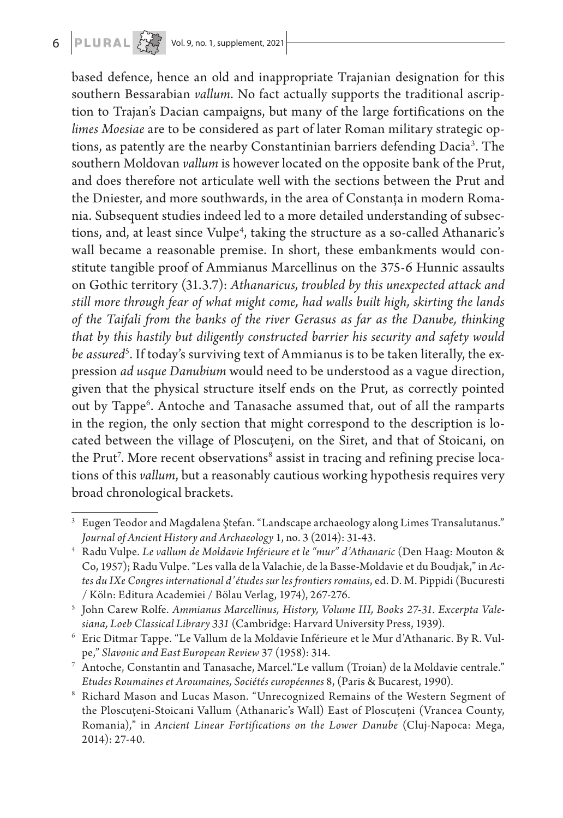# $6$  **PLURAL**  $\begin{matrix} 2 & 3 \\ 4 & 5 \end{matrix}$  Vol. 9, no. 1, supplement, 2021

based defence, hence an old and inappropriate Trajanian designation for this southern Bessarabian *vallum*. No fact actually supports the traditional ascription to Trajan's Dacian campaigns, but many of the large fortifications on the *limes Moesiae* are to be considered as part of later Roman military strategic options, as patently are the nearby Constantinian barriers defending Dacia<sup>3</sup>. The southern Moldovan *vallum* is however located on the opposite bank of the Prut, and does therefore not articulate well with the sections between the Prut and the Dniester, and more southwards, in the area of Constanța in modern Romania. Subsequent studies indeed led to a more detailed understanding of subsections, and, at least since Vulpe<sup>4</sup>, taking the structure as a so-called Athanaric's wall became a reasonable premise. In short, these embankments would constitute tangible proof of Ammianus Marcellinus on the 375-6 Hunnic assaults on Gothic territory (31.3.7): *Athanaricus, troubled by this unexpected attack and still more through fear of what might come, had walls built high, skirting the lands of the Taifali from the banks of the river Gerasus as far as the Danube, thinking that by this hastily but diligently constructed barrier his security and safety would*  b*e assured<sup>s</sup>.* If today's surviving text of Ammianus is to be taken literally, the expression *ad usque Danubium* would need to be understood as a vague direction, given that the physical structure itself ends on the Prut, as correctly pointed out by Tappe6 . Antoche and Tanasache assumed that, out of all the ramparts in the region, the only section that might correspond to the description is located between the village of Ploscuțeni, on the Siret, and that of Stoicani, on the Prut<sup>7</sup>. More recent observations<sup>8</sup> assist in tracing and refining precise locations of this *vallum*, but a reasonably cautious working hypothesis requires very broad chronological brackets.

<sup>3</sup> Eugen Teodor and Magdalena Ştefan. "Landscape archaeology along Limes Transalutanus." *Journal of Ancient History and Archaeology* 1, no. 3 (2014): 31-43.

<sup>4</sup> Radu Vulpe. *Le vallum de Moldavie Inférieure et le "mur" d'Athanaric* (Den Haag: Mouton & Co, 1957); Radu Vulpe. "Les valla de la Valachie, de la Basse-Moldavie et du Boudjak," in *Actes du IXe Congres international d'études sur les frontiers romains*, ed. D. M. Pippidi (Bucuresti / Köln: Editura Academiei / Bölau Verlag, 1974), 267-276.

<sup>5</sup> John Carew Rolfe. *Ammianus Marcellinus, History, Volume III, Books 27-31. Excerpta Valesiana, Loeb Classical Library 331* (Cambridge: Harvard University Press, 1939).

<sup>6</sup> Eric Ditmar Tappe. "Le Vallum de la Moldavie Inférieure et le Mur d'Athanaric. By R. Vulpe," *Slavonic and East European Review* 37 (1958): 314.

<sup>7</sup> Antoche, Constantin and Tanasache, Marcel."Le vallum (Troian) de la Moldavie centrale." *Etudes Roumaines et Aroumaines, Sociétés européennes* 8, (Paris & Bucarest, 1990).

<sup>8</sup> Richard Mason and Lucas Mason. "Unrecognized Remains of the Western Segment of the Ploscuţeni-Stoicani Vallum (Athanaric's Wall) East of Ploscuţeni (Vrancea County, Romania)," in *Ancient Linear Fortifications on the Lower Danube* (Cluj-Napoca: Mega, 2014): 27-40.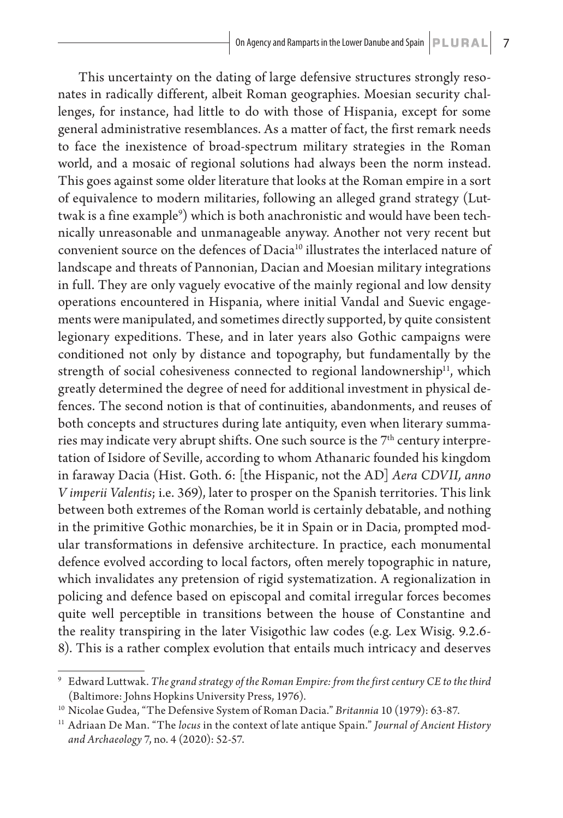This uncertainty on the dating of large defensive structures strongly resonates in radically different, albeit Roman geographies. Moesian security challenges, for instance, had little to do with those of Hispania, except for some general administrative resemblances. As a matter of fact, the first remark needs to face the inexistence of broad-spectrum military strategies in the Roman world, and a mosaic of regional solutions had always been the norm instead. This goes against some older literature that looks at the Roman empire in a sort of equivalence to modern militaries, following an alleged grand strategy (Luttwak is a fine example<sup>9</sup>) which is both anachronistic and would have been technically unreasonable and unmanageable anyway. Another not very recent but convenient source on the defences of Dacia<sup>10</sup> illustrates the interlaced nature of landscape and threats of Pannonian, Dacian and Moesian military integrations in full. They are only vaguely evocative of the mainly regional and low density operations encountered in Hispania, where initial Vandal and Suevic engagements were manipulated, and sometimes directly supported, by quite consistent legionary expeditions. These, and in later years also Gothic campaigns were conditioned not only by distance and topography, but fundamentally by the strength of social cohesiveness connected to regional landownership<sup>11</sup>, which greatly determined the degree of need for additional investment in physical defences. The second notion is that of continuities, abandonments, and reuses of both concepts and structures during late antiquity, even when literary summaries may indicate very abrupt shifts. One such source is the  $7<sup>th</sup>$  century interpretation of Isidore of Seville, according to whom Athanaric founded his kingdom in faraway Dacia (Hist. Goth. 6: [the Hispanic, not the AD] *Aera CDVII, anno V imperii Valentis*; i.e. 369), later to prosper on the Spanish territories. This link between both extremes of the Roman world is certainly debatable, and nothing in the primitive Gothic monarchies, be it in Spain or in Dacia, prompted modular transformations in defensive architecture. In practice, each monumental defence evolved according to local factors, often merely topographic in nature, which invalidates any pretension of rigid systematization. A regionalization in policing and defence based on episcopal and comital irregular forces becomes quite well perceptible in transitions between the house of Constantine and the reality transpiring in the later Visigothic law codes (e.g. Lex Wisig. 9.2.6- 8). This is a rather complex evolution that entails much intricacy and deserves

<sup>9</sup> Edward Luttwak. *The grand strategy of the Roman Empire: from the first century CE to the third* (Baltimore: Johns Hopkins University Press, 1976).

<sup>10</sup> Nicolae Gudea, "The Defensive System of Roman Dacia." *Britannia* 10 (1979): 63-87.

<sup>11</sup> Adriaan De Man. "The *locus* in the context of late antique Spain." *Journal of Ancient History and Archaeology* 7, no. 4 (2020): 52-57.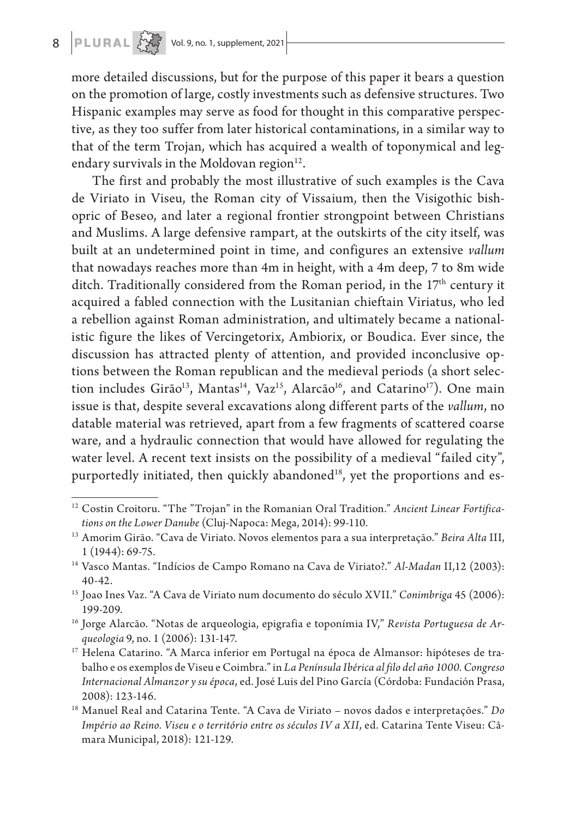more detailed discussions, but for the purpose of this paper it bears a question on the promotion of large, costly investments such as defensive structures. Two Hispanic examples may serve as food for thought in this comparative perspective, as they too suffer from later historical contaminations, in a similar way to that of the term Trojan, which has acquired a wealth of toponymical and legendary survivals in the Moldovan region $12$ .

The first and probably the most illustrative of such examples is the Cava de Viriato in Viseu, the Roman city of Vissaium, then the Visigothic bishopric of Beseo, and later a regional frontier strongpoint between Christians and Muslims. A large defensive rampart, at the outskirts of the city itself, was built at an undetermined point in time, and configures an extensive *vallum* that nowadays reaches more than 4m in height, with a 4m deep, 7 to 8m wide ditch. Traditionally considered from the Roman period, in the 17<sup>th</sup> century it acquired a fabled connection with the Lusitanian chieftain Viriatus, who led a rebellion against Roman administration, and ultimately became a nationalistic figure the likes of Vercingetorix, Ambiorix, or Boudica. Ever since, the discussion has attracted plenty of attention, and provided inconclusive options between the Roman republican and the medieval periods (a short selection includes Girão<sup>13</sup>, Mantas<sup>14</sup>, Vaz<sup>15</sup>, Alarcão<sup>16</sup>, and Catarino<sup>17</sup>). One main issue is that, despite several excavations along different parts of the *vallum*, no datable material was retrieved, apart from a few fragments of scattered coarse ware, and a hydraulic connection that would have allowed for regulating the water level. A recent text insists on the possibility of a medieval "failed city", purportedly initiated, then quickly abandoned<sup>18</sup>, yet the proportions and es-

<sup>12</sup> Costin Croitoru. "The "Trojan" in the Romanian Oral Tradition." *Ancient Linear Fortifications on the Lower Danube* (Cluj-Napoca: Mega, 2014): 99-110.

<sup>13</sup> Amorim Girão. "Cava de Viriato. Novos elementos para a sua interpretação." *Beira Alta* III, 1 (1944): 69-75.

<sup>14</sup> Vasco Mantas. "Indícios de Campo Romano na Cava de Viriato?." *Al-Madan* II,12 (2003): 40-42.

<sup>15</sup> Joao Ines Vaz. "A Cava de Viriato num documento do século XVII." *Conimbriga* 45 (2006): 199-209.

<sup>16</sup> Jorge Alarcão. "Notas de arqueologia, epigrafia e toponímia IV," *Revista Portuguesa de Arqueologia* 9, no. 1 (2006): 131-147.

<sup>&</sup>lt;sup>17</sup> Helena Catarino. "A Marca inferior em Portugal na época de Almansor: hipóteses de trabalho e os exemplos de Viseu e Coimbra." in *La Península Ibérica al filo del año 1000. Congreso Internacional Almanzor y su época*, ed. José Luis del Pino García (Córdoba: Fundación Prasa, 2008): 123-146.

<sup>18</sup> Manuel Real and Catarina Tente. "A Cava de Viriato – novos dados e interpretações." *Do Império ao Reino. Viseu e o território entre os séculos IV a XII*, ed. Catarina Tente Viseu: Câmara Municipal, 2018): 121-129.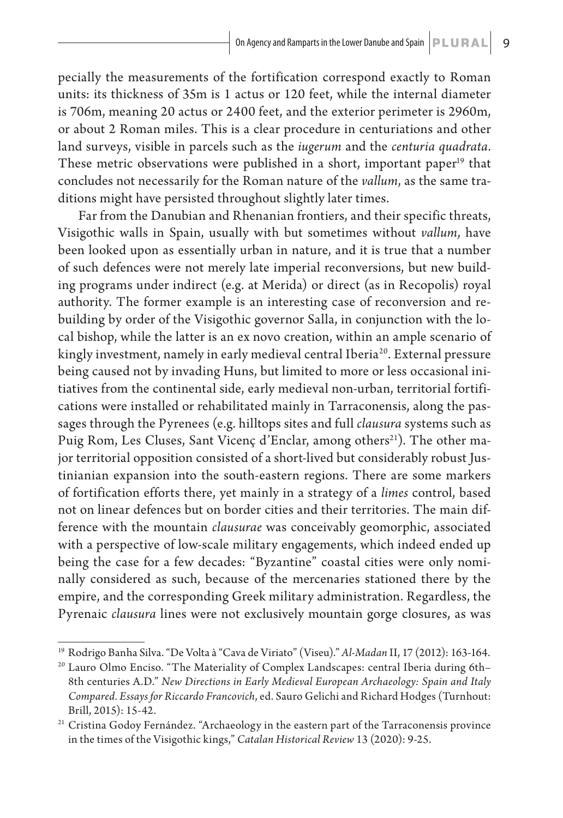pecially the measurements of the fortification correspond exactly to Roman units: its thickness of 35m is 1 actus or 120 feet, while the internal diameter is 706m, meaning 20 actus or 2400 feet, and the exterior perimeter is 2960m, or about 2 Roman miles. This is a clear procedure in centuriations and other land surveys, visible in parcels such as the *iugerum* and the *centuria quadrata*. These metric observations were published in a short, important paper<sup>19</sup> that concludes not necessarily for the Roman nature of the *vallum*, as the same traditions might have persisted throughout slightly later times.

Far from the Danubian and Rhenanian frontiers, and their specific threats, Visigothic walls in Spain, usually with but sometimes without *vallum*, have been looked upon as essentially urban in nature, and it is true that a number of such defences were not merely late imperial reconversions, but new building programs under indirect (e.g. at Merida) or direct (as in Recopolis) royal authority. The former example is an interesting case of reconversion and rebuilding by order of the Visigothic governor Salla, in conjunction with the local bishop, while the latter is an ex novo creation, within an ample scenario of kingly investment, namely in early medieval central Iberia<sup>20</sup>. External pressure being caused not by invading Huns, but limited to more or less occasional initiatives from the continental side, early medieval non-urban, territorial fortifications were installed or rehabilitated mainly in Tarraconensis, along the passages through the Pyrenees (e.g. hilltops sites and full *clausura* systems such as Puig Rom, Les Cluses, Sant Vicenç d'Enclar, among others<sup>21</sup>). The other major territorial opposition consisted of a short-lived but considerably robust Justinianian expansion into the south-eastern regions. There are some markers of fortification efforts there, yet mainly in a strategy of a *limes* control, based not on linear defences but on border cities and their territories. The main difference with the mountain *clausurae* was conceivably geomorphic, associated with a perspective of low-scale military engagements, which indeed ended up being the case for a few decades: "Byzantine" coastal cities were only nominally considered as such, because of the mercenaries stationed there by the empire, and the corresponding Greek military administration. Regardless, the Pyrenaic *clausura* lines were not exclusively mountain gorge closures, as was

<sup>19</sup> Rodrigo Banha Silva. "De Volta à "Cava de Viriato" (Viseu)." *Al-Madan* II, 17 (2012): 163-164.

<sup>&</sup>lt;sup>20</sup> Lauro Olmo Enciso. "The Materiality of Complex Landscapes: central Iberia during 6th-8th centuries A.D." *New Directions in Early Medieval European Archaeology: Spain and Italy Compared. Essays for Riccardo Francovich*, ed. Sauro Gelichi and Richard Hodges (Turnhout: Brill, 2015): 15-42.

<sup>21</sup> Cristina Godoy Fernández. "Archaeology in the eastern part of the Tarraconensis province in the times of the Visigothic kings," *Catalan Historical Review* 13 (2020): 9-25.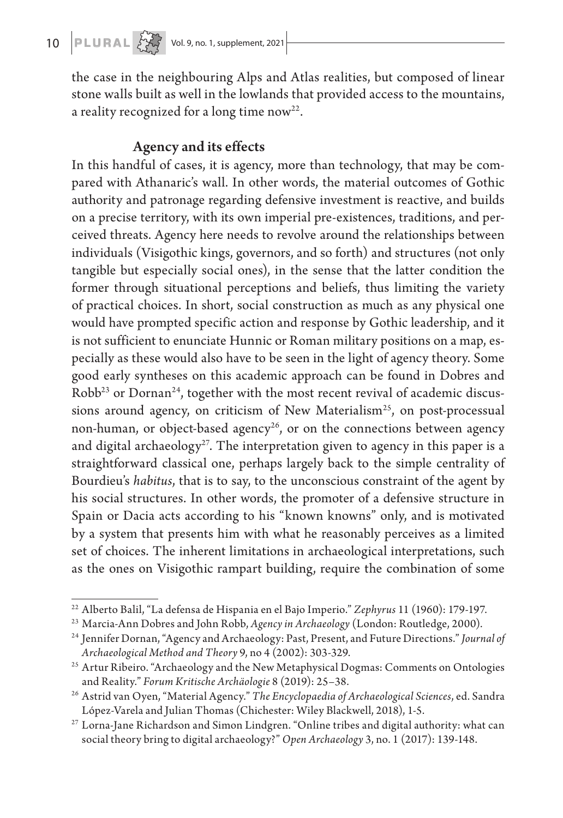the case in the neighbouring Alps and Atlas realities, but composed of linear stone walls built as well in the lowlands that provided access to the mountains, a reality recognized for a long time now<sup>22</sup>.

## Agency and its effects

In this handful of cases, it is agency, more than technology, that may be compared with Athanaric's wall. In other words, the material outcomes of Gothic authority and patronage regarding defensive investment is reactive, and builds on a precise territory, with its own imperial pre-existences, traditions, and perceived threats. Agency here needs to revolve around the relationships between individuals (Visigothic kings, governors, and so forth) and structures (not only tangible but especially social ones), in the sense that the latter condition the former through situational perceptions and beliefs, thus limiting the variety of practical choices. In short, social construction as much as any physical one would have prompted specific action and response by Gothic leadership, and it is not sufficient to enunciate Hunnic or Roman military positions on a map, especially as these would also have to be seen in the light of agency theory. Some good early syntheses on this academic approach can be found in Dobres and  $Robb<sup>23</sup>$  or Dornan<sup>24</sup>, together with the most recent revival of academic discussions around agency, on criticism of New Materialism<sup>25</sup>, on post-processual non-human, or object-based agency<sup>26</sup>, or on the connections between agency and digital archaeology<sup>27</sup>. The interpretation given to agency in this paper is a straightforward classical one, perhaps largely back to the simple centrality of Bourdieu's *habitus*, that is to say, to the unconscious constraint of the agent by his social structures. In other words, the promoter of a defensive structure in Spain or Dacia acts according to his "known knowns" only, and is motivated by a system that presents him with what he reasonably perceives as a limited set of choices. The inherent limitations in archaeological interpretations, such as the ones on Visigothic rampart building, require the combination of some

<sup>22</sup> Alberto Balil, "La defensa de Hispania en el Bajo Imperio." *Zephyrus* 11 (1960): 179-197.

<sup>23</sup> Marcia-Ann Dobres and John Robb, *Agency in Archaeology* (London: Routledge, 2000).

<sup>24</sup> Jennifer Dornan, "Agency and Archaeology: Past, Present, and Future Directions." *Journal of Archaeological Method and Theory* 9, no 4 (2002): 303-329.

<sup>&</sup>lt;sup>25</sup> Artur Ribeiro. "Archaeology and the New Metaphysical Dogmas: Comments on Ontologies and Reality." *Forum Kritische Archäologie* 8 (2019): 25–38.

<sup>26</sup> Astrid van Oyen, "Material Agency." *The Encyclopaedia of Archaeological Sciences*, ed. Sandra López-Varela and Julian Thomas (Chichester: Wiley Blackwell, 2018), 1-5.

<sup>27</sup> Lorna-Jane Richardson and Simon Lindgren. "Online tribes and digital authority: what can social theory bring to digital archaeology?" *Open Archaeology* 3, no. 1 (2017): 139-148.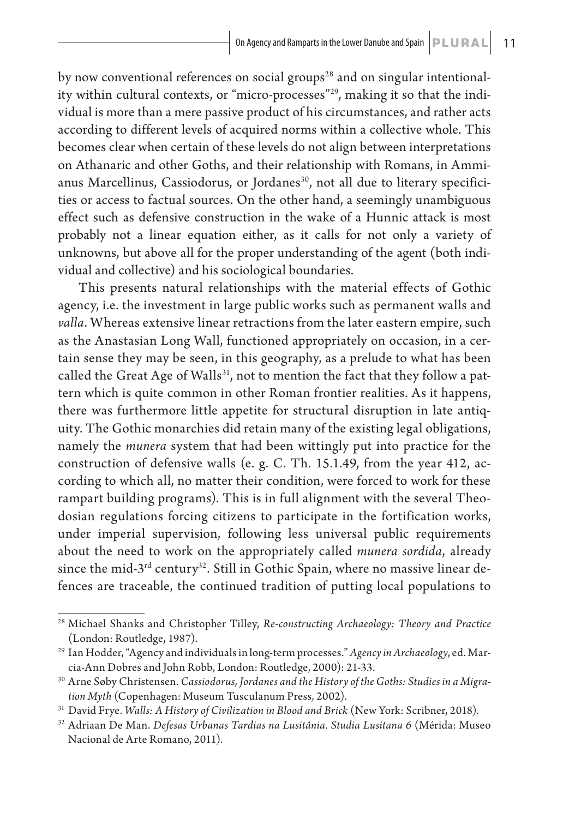by now conventional references on social groups<sup>28</sup> and on singular intentionality within cultural contexts, or "micro-processes"<sup>29</sup>, making it so that the individual is more than a mere passive product of his circumstances, and rather acts according to different levels of acquired norms within a collective whole. This becomes clear when certain of these levels do not align between interpretations on Athanaric and other Goths, and their relationship with Romans, in Ammianus Marcellinus, Cassiodorus, or Jordanes<sup>30</sup>, not all due to literary specificities or access to factual sources. On the other hand, a seemingly unambiguous effect such as defensive construction in the wake of a Hunnic attack is most probably not a linear equation either, as it calls for not only a variety of unknowns, but above all for the proper understanding of the agent (both individual and collective) and his sociological boundaries.

This presents natural relationships with the material effects of Gothic agency, i.e. the investment in large public works such as permanent walls and *valla*. Whereas extensive linear retractions from the later eastern empire, such as the Anastasian Long Wall, functioned appropriately on occasion, in a certain sense they may be seen, in this geography, as a prelude to what has been called the Great Age of Walls $31$ , not to mention the fact that they follow a pattern which is quite common in other Roman frontier realities. As it happens, there was furthermore little appetite for structural disruption in late antiquity. The Gothic monarchies did retain many of the existing legal obligations, namely the *munera* system that had been wittingly put into practice for the construction of defensive walls (e. g. C. Th. 15.1.49, from the year 412, according to which all, no matter their condition, were forced to work for these rampart building programs). This is in full alignment with the several Theodosian regulations forcing citizens to participate in the fortification works, under imperial supervision, following less universal public requirements about the need to work on the appropriately called *munera sordida*, already since the mid- $3<sup>rd</sup>$  century<sup>32</sup>. Still in Gothic Spain, where no massive linear defences are traceable, the continued tradition of putting local populations to

<sup>28</sup> Michael Shanks and Christopher Tilley, *Re-constructing Archaeology: Theory and Practice* (London: Routledge, 1987).

<sup>29</sup> Ian Hodder, "Agency and individuals in long-term processes." *Agency in Archaeology*, ed. Marcia-Ann Dobres and John Robb, London: Routledge, 2000): 21-33.

<sup>30</sup> Arne Søby Christensen. *Cassiodorus, Jordanes and the History of the Goths: Studies in a Migration Myth* (Copenhagen: Museum Tusculanum Press, 2002).

<sup>31</sup> David Frye. *Walls: A History of Civilization in Blood and Brick* (New York: Scribner, 2018).

<sup>32</sup> Adriaan De Man. *Defesas Urbanas Tardias na Lusitânia. Studia Lusitana 6* (Mérida: Museo Nacional de Arte Romano, 2011).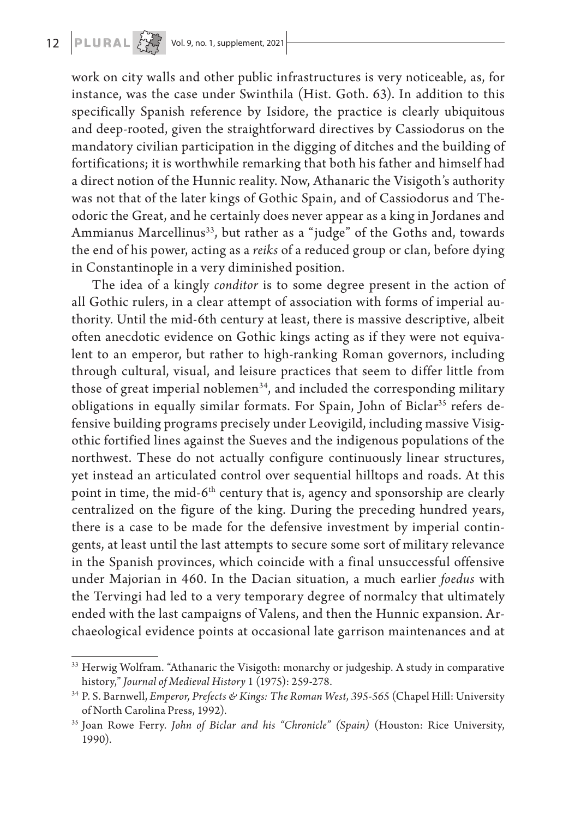work on city walls and other public infrastructures is very noticeable, as, for instance, was the case under Swinthila (Hist. Goth. 63). In addition to this specifically Spanish reference by Isidore, the practice is clearly ubiquitous and deep-rooted, given the straightforward directives by Cassiodorus on the mandatory civilian participation in the digging of ditches and the building of fortifications; it is worthwhile remarking that both his father and himself had a direct notion of the Hunnic reality. Now, Athanaric the Visigoth's authority was not that of the later kings of Gothic Spain, and of Cassiodorus and Theodoric the Great, and he certainly does never appear as a king in Jordanes and Ammianus Marcellinus<sup>33</sup>, but rather as a "judge" of the Goths and, towards the end of his power, acting as a *reiks* of a reduced group or clan, before dying in Constantinople in a very diminished position.

The idea of a kingly *conditor* is to some degree present in the action of all Gothic rulers, in a clear attempt of association with forms of imperial authority. Until the mid-6th century at least, there is massive descriptive, albeit often anecdotic evidence on Gothic kings acting as if they were not equivalent to an emperor, but rather to high-ranking Roman governors, including through cultural, visual, and leisure practices that seem to differ little from those of great imperial noblemen<sup>34</sup>, and included the corresponding military obligations in equally similar formats. For Spain, John of Biclar<sup>35</sup> refers defensive building programs precisely under Leovigild, including massive Visigothic fortified lines against the Sueves and the indigenous populations of the northwest. These do not actually configure continuously linear structures, yet instead an articulated control over sequential hilltops and roads. At this point in time, the mid- $6<sup>th</sup>$  century that is, agency and sponsorship are clearly centralized on the figure of the king. During the preceding hundred years, there is a case to be made for the defensive investment by imperial contingents, at least until the last attempts to secure some sort of military relevance in the Spanish provinces, which coincide with a final unsuccessful offensive under Majorian in 460. In the Dacian situation, a much earlier *foedus* with the Tervingi had led to a very temporary degree of normalcy that ultimately ended with the last campaigns of Valens, and then the Hunnic expansion. Archaeological evidence points at occasional late garrison maintenances and at

<sup>&</sup>lt;sup>33</sup> Herwig Wolfram. "Athanaric the Visigoth: monarchy or judgeship. A study in comparative history," *Journal of Medieval History* 1 (1975): 259-278.

<sup>34</sup> P. S. Barnwell, *Emperor, Prefects & Kings: The Roman West, 395-565* (Chapel Hill: University of North Carolina Press, 1992).

<sup>35</sup> Joan Rowe Ferry. *John of Biclar and his "Chronicle" (Spain)* (Houston: Rice University, 1990).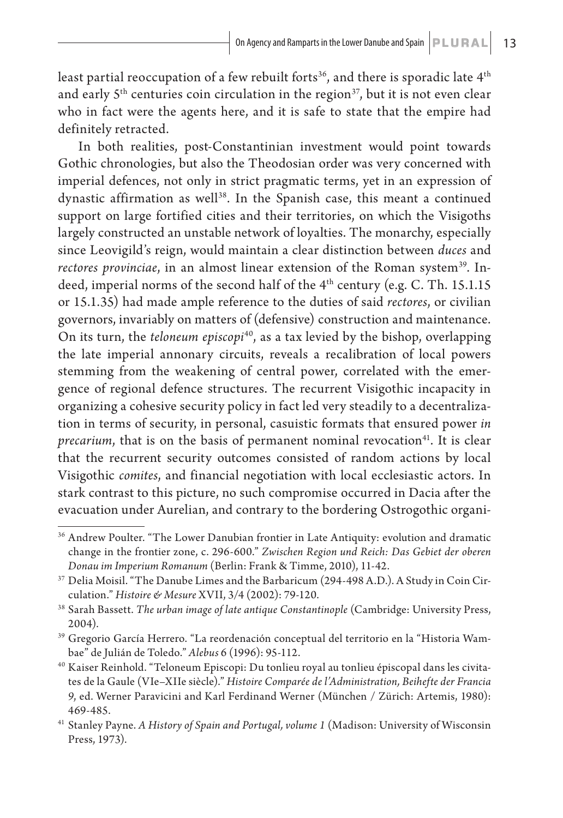least partial reoccupation of a few rebuilt forts<sup>36</sup>, and there is sporadic late  $4<sup>th</sup>$ and early  $5<sup>th</sup>$  centuries coin circulation in the region<sup>37</sup>, but it is not even clear who in fact were the agents here, and it is safe to state that the empire had definitely retracted.

In both realities, post-Constantinian investment would point towards Gothic chronologies, but also the Theodosian order was very concerned with imperial defences, not only in strict pragmatic terms, yet in an expression of dynastic affirmation as well<sup>38</sup>. In the Spanish case, this meant a continued support on large fortified cities and their territories, on which the Visigoths largely constructed an unstable network of loyalties. The monarchy, especially since Leovigild's reign, would maintain a clear distinction between *duces* and *rectores provinciae*, in an almost linear extension of the Roman system<sup>39</sup>. Indeed, imperial norms of the second half of the  $4<sup>th</sup>$  century (e.g. C. Th. 15.1.15) or 15.1.35) had made ample reference to the duties of said *rectores*, or civilian governors, invariably on matters of (defensive) construction and maintenance. On its turn, the *teloneum episcopi<sup>40</sup>*, as a tax levied by the bishop, overlapping the late imperial annonary circuits, reveals a recalibration of local powers stemming from the weakening of central power, correlated with the emergence of regional defence structures. The recurrent Visigothic incapacity in organizing a cohesive security policy in fact led very steadily to a decentralization in terms of security, in personal, casuistic formats that ensured power *in precarium*, that is on the basis of permanent nominal revocation<sup>41</sup>. It is clear that the recurrent security outcomes consisted of random actions by local Visigothic *comites*, and financial negotiation with local ecclesiastic actors. In stark contrast to this picture, no such compromise occurred in Dacia after the evacuation under Aurelian, and contrary to the bordering Ostrogothic organi-

<sup>&</sup>lt;sup>36</sup> Andrew Poulter. "The Lower Danubian frontier in Late Antiquity: evolution and dramatic change in the frontier zone, c. 296-600." *Zwischen Region und Reich: Das Gebiet der oberen Donau im Imperium Romanum* (Berlin: Frank & Timme, 2010), 11-42.

<sup>37</sup> Delia Moisil. "The Danube Limes and the Barbaricum (294-498 A.D.). A Study in Coin Circulation." *Histoire & Mesure* XVII, 3/4 (2002): 79-120.

<sup>38</sup> Sarah Bassett. *The urban image of late antique Constantinople* (Cambridge: University Press, 2004).

<sup>39</sup> Gregorio García Herrero. "La reordenación conceptual del territorio en la "Historia Wambae" de Julián de Toledo." *Alebus* 6 (1996): 95-112.

<sup>&</sup>lt;sup>40</sup> Kaiser Reinhold. "Teloneum Episcopi: Du tonlieu royal au tonlieu épiscopal dans les civitates de la Gaule (VIe–XIIe siècle)." *Histoire Comparée de l'Administration, Beihefte der Francia 9*, ed. Werner Paravicini and Karl Ferdinand Werner (München / Zürich: Artemis, 1980): 469-485.

<sup>41</sup> Stanley Payne. *A History of Spain and Portugal, volume 1* (Madison: University of Wisconsin Press, 1973).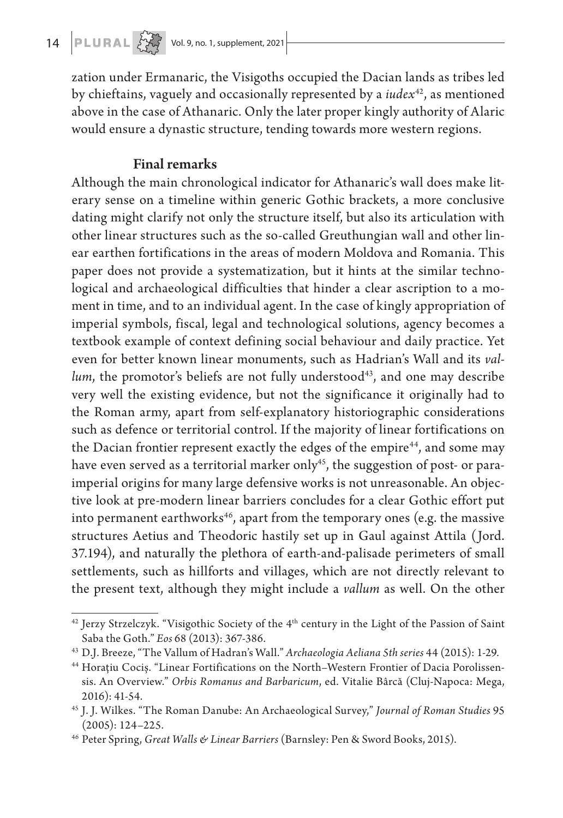zation under Ermanaric, the Visigoths occupied the Dacian lands as tribes led by chieftains, vaguely and occasionally represented by a *iudex*42, as mentioned above in the case of Athanaric. Only the later proper kingly authority of Alaric would ensure a dynastic structure, tending towards more western regions.

# Final remarks

Although the main chronological indicator for Athanaric's wall does make literary sense on a timeline within generic Gothic brackets, a more conclusive dating might clarify not only the structure itself, but also its articulation with other linear structures such as the so-called Greuthungian wall and other linear earthen fortifications in the areas of modern Moldova and Romania. This paper does not provide a systematization, but it hints at the similar technological and archaeological difficulties that hinder a clear ascription to a moment in time, and to an individual agent. In the case of kingly appropriation of imperial symbols, fiscal, legal and technological solutions, agency becomes a textbook example of context defining social behaviour and daily practice. Yet even for better known linear monuments, such as Hadrian's Wall and its *vallum*, the promotor's beliefs are not fully understood<sup>43</sup>, and one may describe very well the existing evidence, but not the significance it originally had to the Roman army, apart from self-explanatory historiographic considerations such as defence or territorial control. If the majority of linear fortifications on the Dacian frontier represent exactly the edges of the empire<sup>44</sup>, and some may have even served as a territorial marker only<sup>45</sup>, the suggestion of post- or paraimperial origins for many large defensive works is not unreasonable. An objective look at pre-modern linear barriers concludes for a clear Gothic effort put into permanent earthworks<sup>46</sup>, apart from the temporary ones (e.g. the massive structures Aetius and Theodoric hastily set up in Gaul against Attila (Jord. 37.194), and naturally the plethora of earth-and-palisade perimeters of small settlements, such as hillforts and villages, which are not directly relevant to the present text, although they might include a *vallum* as well. On the other

<sup>&</sup>lt;sup>42</sup> Jerzy Strzelczyk. "Visigothic Society of the 4<sup>th</sup> century in the Light of the Passion of Saint Saba the Goth." *Eos* 68 (2013): 367-386.

<sup>43</sup> D.J. Breeze, "The Vallum of Hadran's Wall." *Archaeologia Aeliana 5th series* 44 (2015): 1-29.

<sup>44</sup> Horațiu Cociș. "Linear Fortifications on the North–Western Frontier of Dacia Porolissensis. An Overview." *Orbis Romanus and Barbaricum*, ed. Vitalie Bârcă (Cluj-Napoca: Mega, 2016): 41-54.

<sup>45</sup> J. J. Wilkes. "The Roman Danube: An Archaeological Survey," *Journal of Roman Studies* 95 (2005): 124–225.

<sup>46</sup> Peter Spring, *Great Walls & Linear Barriers* (Barnsley: Pen & Sword Books, 2015).